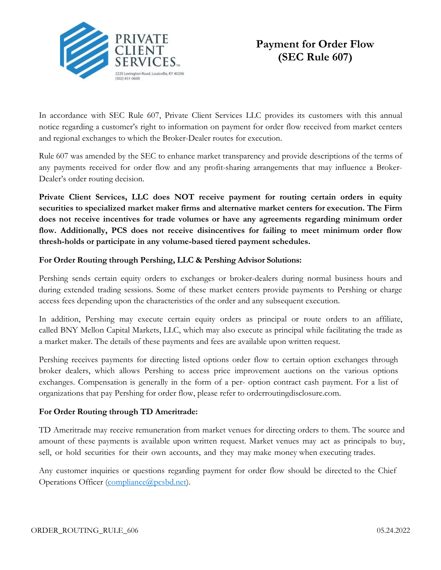

# **Payment for Order Flow (SEC Rule 607)**

In accordance with SEC Rule 607, Private Client Services LLC provides its customers with this annual notice regarding a customer's right to information on payment for order flow received from market centers and regional exchanges to which the Broker-Dealer routes for execution.

Rule 607 was amended by the SEC to enhance market transparency and provide descriptions of the terms of any payments received for order flow and any profit-sharing arrangements that may influence a Broker-Dealer's order routing decision.

**Private Client Services, LLC does NOT receive payment for routing certain orders in equity securities to specialized market maker firms and alternative market centers for execution. The Firm does not receive incentives for trade volumes or have any agreements regarding minimum order flow. Additionally, PCS does not receive disincentives for failing to meet minimum order flow thresh-holds or participate in any volume-based tiered payment schedules.**

### **For Order Routing through Pershing, LLC & Pershing Advisor Solutions:**

Pershing sends certain equity orders to exchanges or broker-dealers during normal business hours and during extended trading sessions. Some of these market centers provide payments to Pershing or charge access fees depending upon the characteristics of the order and any subsequent execution.

In addition, Pershing may execute certain equity orders as principal or route orders to an affiliate, called BNY Mellon Capital Markets, LLC, which may also execute as principal while facilitating the trade as a market maker. The details of these payments and fees are available upon written request.

Pershing receives payments for directing listed options order flow to certain option exchanges through broker dealers, which allows Pershing to access price improvement auctions on the various options exchanges. Compensation is generally in the form of a per- option contract cash payment. For a list of organizations that pay Pershing for order flow, please refer to orderroutingdisclosure.com.

## **For Order Routing through TD Ameritrade:**

TD Ameritrade may receive remuneration from market venues for directing orders to them. The source and amount of these payments is available upon written request. Market venues may act as principals to buy, sell, or hold securities for their own accounts, and they may make money when executing trades.

Any customer inquiries or questions regarding payment for order flow should be directed to the Chief Operations Officer (compliance@pcsbd.net).